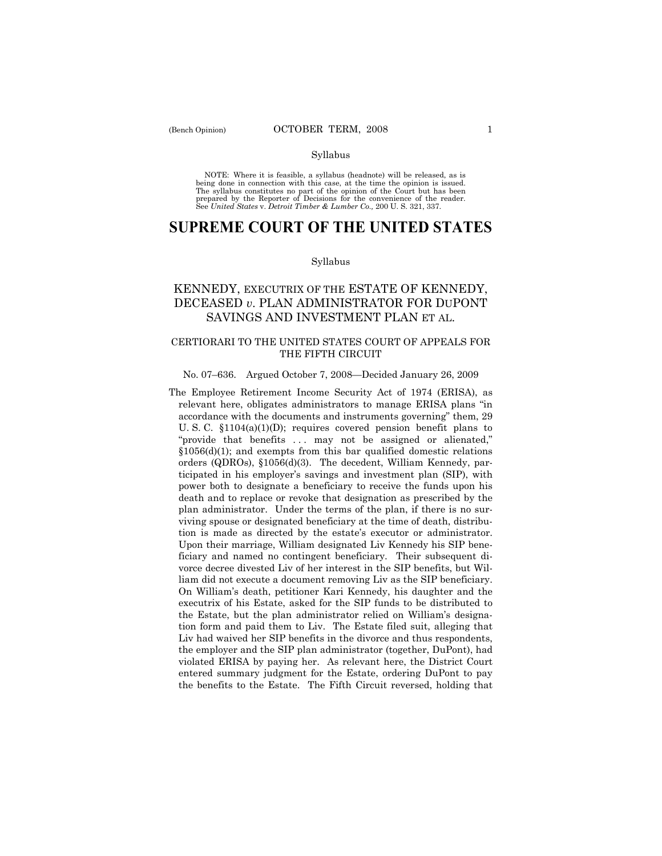#### Syllabus

NOTE: Where it is feasible, a syllabus (headnote) will be released, as is being done in connection with this case, at the time the opinion is issued. The syllabus constitutes no part of the opinion of the Court but has been<br>prepared by the Reporter of Decisions for the convenience of the reader.<br>See United States v. Detroit Timber & Lumber Co., 200 U. S. 321, 337.

# **SUPREME COURT OF THE UNITED STATES**

#### Syllabus

## KENNEDY, EXECUTRIX OF THE ESTATE OF KENNEDY, DECEASED *v*. PLAN ADMINISTRATOR FOR DUPONT SAVINGS AND INVESTMENT PLAN ET AL.

### CERTIORARI TO THE UNITED STATES COURT OF APPEALS FOR THE FIFTH CIRCUIT

#### No. 07–636. Argued October 7, 2008—Decided January 26, 2009

The Employee Retirement Income Security Act of 1974 (ERISA), as relevant here, obligates administrators to manage ERISA plans "in accordance with the documents and instruments governing" them, 29 U. S. C. §1104(a)(1)(D); requires covered pension benefit plans to "provide that benefits ... may not be assigned or alienated," §1056(d)(1); and exempts from this bar qualified domestic relations orders (QDROs), §1056(d)(3). The decedent, William Kennedy, participated in his employer's savings and investment plan (SIP), with power both to designate a beneficiary to receive the funds upon his death and to replace or revoke that designation as prescribed by the plan administrator. Under the terms of the plan, if there is no surviving spouse or designated beneficiary at the time of death, distribution is made as directed by the estate's executor or administrator. Upon their marriage, William designated Liv Kennedy his SIP beneficiary and named no contingent beneficiary. Their subsequent divorce decree divested Liv of her interest in the SIP benefits, but William did not execute a document removing Liv as the SIP beneficiary. On William's death, petitioner Kari Kennedy, his daughter and the executrix of his Estate, asked for the SIP funds to be distributed to the Estate, but the plan administrator relied on William's designation form and paid them to Liv. The Estate filed suit, alleging that Liv had waived her SIP benefits in the divorce and thus respondents, the employer and the SIP plan administrator (together, DuPont), had violated ERISA by paying her. As relevant here, the District Court entered summary judgment for the Estate, ordering DuPont to pay the benefits to the Estate. The Fifth Circuit reversed, holding that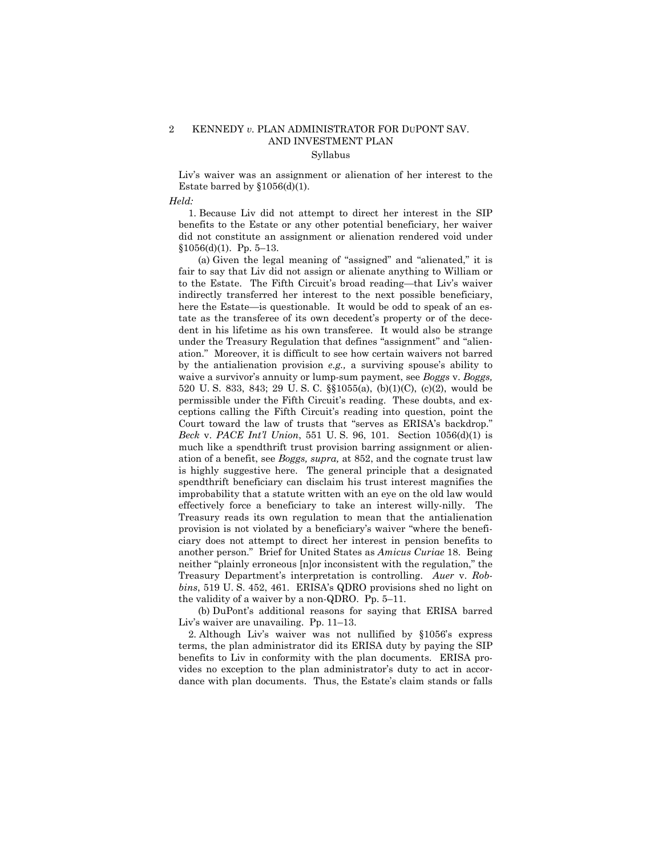## 2 KENNEDY *v.* PLAN ADMINISTRATOR FOR DUPONT SAV. AND INVESTMENT PLAN

### Syllabus

Liv's waiver was an assignment or alienation of her interest to the Estate barred by  $$1056(d)(1)$ .

#### *Held:*

 1. Because Liv did not attempt to direct her interest in the SIP benefits to the Estate or any other potential beneficiary, her waiver did not constitute an assignment or alienation rendered void under  $$1056(d)(1)$ . Pp. 5-13.

 (a) Given the legal meaning of "assigned" and "alienated," it is fair to say that Liv did not assign or alienate anything to William or to the Estate. The Fifth Circuit's broad reading—that Liv's waiver indirectly transferred her interest to the next possible beneficiary, here the Estate—is questionable. It would be odd to speak of an estate as the transferee of its own decedent's property or of the decedent in his lifetime as his own transferee. It would also be strange under the Treasury Regulation that defines "assignment" and "alienation." Moreover, it is difficult to see how certain waivers not barred by the antialienation provision *e.g.,* a surviving spouse's ability to waive a survivor's annuity or lump-sum payment, see *Boggs* v. *Boggs,*  520 U. S. 833, 843; 29 U. S. C. §§1055(a), (b)(1)(C), (c)(2), would be permissible under the Fifth Circuit's reading. These doubts, and exceptions calling the Fifth Circuit's reading into question, point the Court toward the law of trusts that "serves as ERISA's backdrop." *Beck* v. *PACE Int'l Union*, 551 U. S. 96, 101. Section 1056(d)(1) is much like a spendthrift trust provision barring assignment or alienation of a benefit, see *Boggs, supra,* at 852, and the cognate trust law is highly suggestive here. The general principle that a designated spendthrift beneficiary can disclaim his trust interest magnifies the improbability that a statute written with an eye on the old law would effectively force a beneficiary to take an interest willy-nilly. The Treasury reads its own regulation to mean that the antialienation provision is not violated by a beneficiary's waiver "where the beneficiary does not attempt to direct her interest in pension benefits to another person." Brief for United States as *Amicus Curiae* 18. Being neither "plainly erroneous [n]or inconsistent with the regulation," the Treasury Department's interpretation is controlling. *Auer* v. *Robbins*, 519 U. S. 452, 461. ERISA's QDRO provisions shed no light on the validity of a waiver by a non-QDRO. Pp. 5–11.

 (b) DuPont's additional reasons for saying that ERISA barred Liv's waiver are unavailing. Pp. 11–13.

 2. Although Liv's waiver was not nullified by §1056's express terms, the plan administrator did its ERISA duty by paying the SIP benefits to Liv in conformity with the plan documents. ERISA provides no exception to the plan administrator's duty to act in accordance with plan documents. Thus, the Estate's claim stands or falls